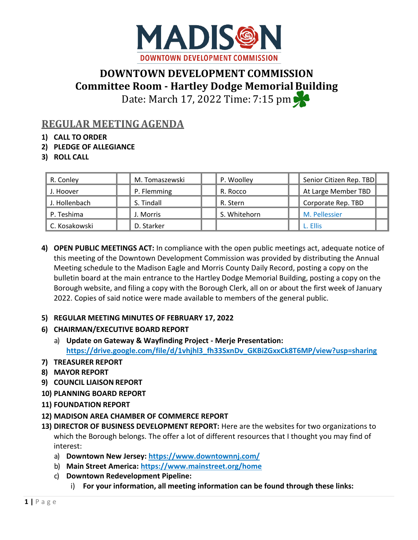

# **DOWNTOWN DEVELOPMENT COMMISSION Committee Room - Hartley Dodge MemorialBuilding** Date: March 17, 2022 Time: 7:15 pm

## **REGULAR MEETINGAGENDA**

- **1) CALL TO ORDER**
- **2) PLEDGE OF ALLEGIANCE**
- **3) ROLL CALL**

| R. Conley     | M. Tomaszewski | P. Woolley   | Senior Citizen Rep. TBD |
|---------------|----------------|--------------|-------------------------|
| J. Hoover     | P. Flemming    | R. Rocco     | At Large Member TBD     |
| J. Hollenbach | S. Tindall     | R. Stern     | Corporate Rep. TBD      |
| P. Teshima    | J. Morris      | S. Whitehorn | M. Pellessier           |
| C. Kosakowski | D. Starker     |              | L. Ellis                |

**4) OPEN PUBLIC MEETINGS ACT:** In compliance with the open public meetings act, adequate notice of this meeting of the Downtown Development Commission was provided by distributing the Annual Meeting schedule to the Madison Eagle and Morris County Daily Record, posting a copy on the bulletin board at the main entrance to the Hartley Dodge Memorial Building, posting a copy on the Borough website, and filing a copy with the Borough Clerk, all on or about the first week of January 2022. Copies of said notice were made available to members of the general public.

#### **5) REGULAR MEETING MINUTES OF FEBRUARY 17, 2022**

- **6) CHAIRMAN/EXECUTIVE BOARD REPORT**
	- a) **Update on Gateway & Wayfinding Project - Merje Presentation: https://drive.google.com/file/d/1vhjhl3\_fh33SxnDv\_GKBiZGxxCk8T6MP/view?usp=sharing**
- **7) TREASURER REPORT**
- **8) MAYOR REPORT**
- **9) COUNCIL LIAISON REPORT**
- **10) PLANNING BOARD REPORT**
- **11) FOUNDATION REPORT**
- **12) MADISON AREA CHAMBER OF COMMERCE REPORT**
- **13) DIRECTOR OF BUSINESS DEVELOPMENT REPORT:** Here are the websites for two organizations to which the Borough belongs. The offer a lot of different resources that I thought you may find of interest:
	- a) **Downtown New Jersey:<https://www.downtownnj.com/>**
	- b) **Main Street America:<https://www.mainstreet.org/home>**
	- c) **Downtown Redevelopment Pipeline:**
		- i) **For your information, all meeting information can be found through these links:**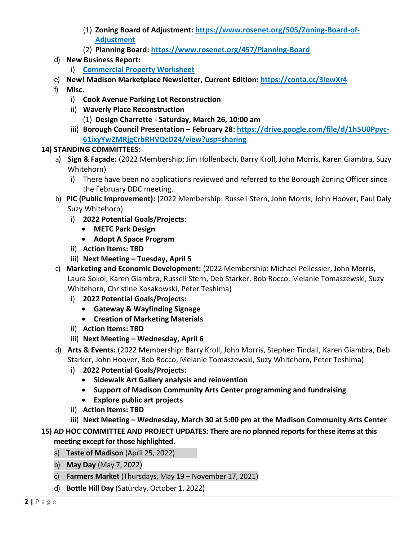- (1) **Zoning Board of Adjustment: [https://www.rosenet.org/505/Zoning-Board-of-](https://www.rosenet.org/505/Zoning-Board-of-Adjustment)[Adjustment](https://www.rosenet.org/505/Zoning-Board-of-Adjustment)**
- (2) **Planning Board:<https://www.rosenet.org/457/Planning-Board>**
- d) **New Business Report:** 
	- i) **[Commercial Property Worksheet](https://docs.google.com/spreadsheets/d/15_jSpBuGie8XvBRuRokW86XRC8PNtRNO3aDZbkvIQlg/edit#gid=0)**
- e) **New! Madison Marketplace Newsletter, Current Edition:<https://conta.cc/3iewXr4>**
- f) **Misc.** 
	- i) **Cook Avenue Parking Lot Reconstruction**
	- ii) **Waverly Place Reconstruction**
		- (1) **Design Charrette - Saturday, March 26, 10:00 am**
	- iii) Borough Council Presentation February 28: https://drive.google.com/file/d/1h5U0Ppyc-**61ixyYw2MRjgCrbRHVQcD24/view?usp=sharing**

### **14) STANDING COMMITTEES:**

- a) **Sign & Façade:** (2022 Membership: Jim Hollenbach, Barry Kroll, John Morris, Karen Giambra, Suzy Whitehorn)
	- i) There have been no applications reviewed and referred to the Borough Zoning Officer since the February DDC meeting.
- b) **PIC (Public Improvement):** (2022 Membership: Russell Stern, John Morris, John Hoover, Paul Daly Suzy Whitehorn)
	- i) **2022 Potential Goals/Projects:**
		- **METC Park Design**
		- **Adopt A Space Program**
	- ii) **Action Items: TBD**
	- iii) **Next Meeting – Tuesday, April 5**
- c) **Marketing and Economic Development:** (2022 Membership: Michael Pellessier, John Morris, Laura Sokol, Karen Giambra, Russell Stern, Deb Starker, Bob Rocco, Melanie Tomaszewski, Suzy Whitehorn, Christine Kosakowski, Peter Teshima)
	- i) **2022 Potential Goals/Projects:**
		- **Gateway & Wayfinding Signage**
		- **Creation of Marketing Materials**
	- ii) **Action Items: TBD**
	- iii) **Next Meeting – Wednesday, April 6**
- d) **Arts & Events:** (2022 Membership: Barry Kroll, John Morris, Stephen Tindall, Karen Giambra, Deb Starker, John Hoover, Bob Rocco, Melanie Tomaszewski, Suzy Whitehorn, Peter Teshima)
	- i) **2022 Potential Goals/Projects:**
		- **Sidewalk Art Gallery analysis and reinvention**
		- **Support of Madison Community Arts Center programming and fundraising**
		- **Explore public art projects**
	- ii) **Action Items: TBD**
	- iii) **Next Meeting – Wednesday, March 30 at 5:00 pm at the Madison Community Arts Center**

### **15) AD HOC COMMITTEE AND PROJECT UPDATES: There are no planned reports for these items at this meeting except for those highlighted.**

- a) **Taste of Madison** (April 25, 2022)
- b) **May Day** (May 7, 2022)
- c) **Farmers Market** (Thursdays, May 19 November 17, 2021)
- d) **Bottle Hill Day** (Saturday, October 1, 2022)